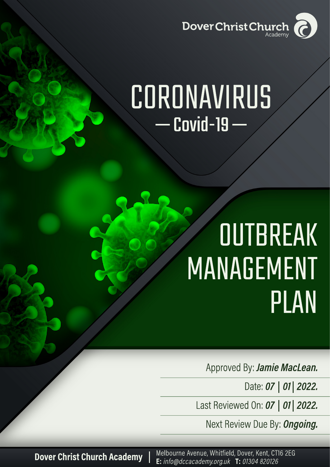

# CORONAVIRUS  $Covid-19$  –

# OUTBREAK MANAGEMENT PLAN

Approved By: Jamie MacLean.

Date: 07 | 01 | 2022.

Last Reviewed On: 07 | 01 | 2022.

Next Review Due By: Ongoing.

**Dover Christ Church Academy** 

Melbourne Avenue, Whitfield, Dover, Kent, CT16 2EG E: info@dccacademy.org.uk T: 01304 820126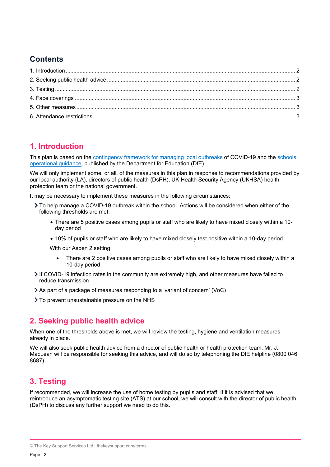# **Contents**

## <span id="page-1-0"></span>**1. Introduction**

This plan is based on the [contingency framework for managing local outbreaks](https://www.gov.uk/government/publications/coronavirus-covid-19-local-restrictions-in-education-and-childcare-settings) of COVID-19 and the [schools](https://www.gov.uk/government/publications/actions-for-schools-during-the-coronavirus-outbreak)  [operational guidance,](https://www.gov.uk/government/publications/actions-for-schools-during-the-coronavirus-outbreak) published by the Department for Education (DfE).

We will only implement some, or all, of the measures in this plan in response to recommendations provided by our local authority (LA), directors of public health (DsPH), UK Health Security Agency (UKHSA) health protection team or the national government.

It may be necessary to implement these measures in the following circumstances:

- To help manage a COVID-19 outbreak within the school. Actions will be considered when either of the following thresholds are met:
	- There are 5 positive cases among pupils or staff who are likely to have mixed closely within a 10 day period
	- 10% of pupils or staff who are likely to have mixed closely test positive within a 10-day period

With our Aspen 2 setting:

- There are 2 positive cases among pupils or staff who are likely to have mixed closely within a 10-day period
- $\geq$  If COVID-19 infection rates in the community are extremely high, and other measures have failed to reduce transmission
- As part of a package of measures responding to a 'variant of concern' (VoC)
- > To prevent unsustainable pressure on the NHS

### <span id="page-1-1"></span>**2. Seeking public health advice**

When one of the thresholds above is met, we will review the testing, hygiene and ventilation measures already in place.

We will also seek public health advice from a director of public health or health protection team. Mr. J. MacLean will be responsible for seeking this advice, and will do so by telephoning the DfE helpline (0800 046 8687)

# <span id="page-1-2"></span>**3. Testing**

If recommended, we will increase the use of home testing by pupils and staff. If it is advised that we reintroduce an asymptomatic testing site (ATS) at our school, we will consult with the director of public health (DsPH) to discuss any further support we need to do this.

<sup>©</sup> The Key Support Services Ltd | [thekeysupport.com/terms](https://thekeysupport.com/terms-of-use)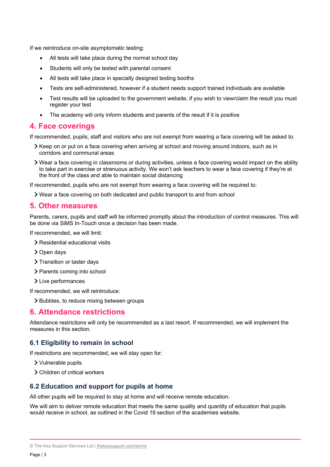If we reintroduce on-site asymptomatic testing:

- All tests will take place during the normal school day
- Students will only be tested with parental consent
- All tests will take place in specially designed testing booths
- Tests are self-administered, however if a student needs support trained individuals are available
- Test results will be uploaded to the government website, if you wish to view/claim the result you must register your test
- The academy will only inform students and parents of the result if it is positive

#### <span id="page-2-0"></span>**4. Face coverings**

If recommended, pupils, staff and visitors who are not exempt from wearing a face covering will be asked to:

- Keep on or put on a face covering when arriving at school and moving around indoors, such as in corridors and communal areas
- Wear a face covering in classrooms or during activities, unless a face covering would impact on the ability to take part in exercise or strenuous activity. We won't ask teachers to wear a face covering if they're at the front of the class and able to maintain social distancing

If recommended, pupils who are not exempt from wearing a face covering will be required to:

Wear a face covering on both dedicated and public transport to and from school

#### <span id="page-2-1"></span>**5. Other measures**

Parents, carers, pupils and staff will be informed promptly about the introduction of control measures. This will be done via SiMS In-Touch once a decision has been made.

If recommended, we will limit:

- > Residential educational visits
- > Open days
- > Transition or taster days
- > Parents coming into school
- > Live performances

If recommended, we will reintroduce:

> Bubbles, to reduce mixing between groups

#### <span id="page-2-2"></span>**6. Attendance restrictions**

Attendance restrictions will only be recommended as a last resort. If recommended, we will implement the measures in this section.

#### **6.1 Eligibility to remain in school**

If restrictions are recommended, we will stay open for:

- Vulnerable pupils
- Children of critical workers

#### **6.2 Education and support for pupils at home**

All other pupils will be required to stay at home and will receive remote education.

We will aim to deliver remote education that meets the same quality and quantity of education that pupils would receive in school, as outlined in the Covid 19 section of the academies website.

<sup>©</sup> The Key Support Services Ltd | [thekeysupport.com/terms](https://thekeysupport.com/terms-of-use)